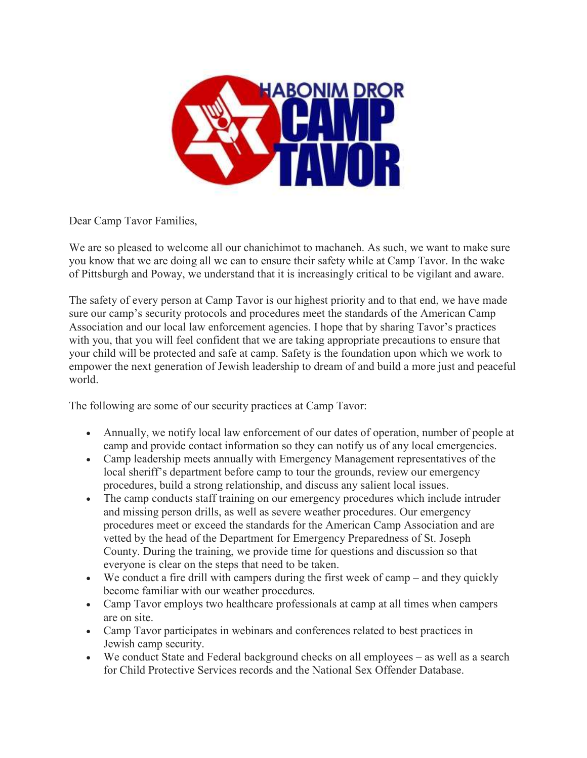

Dear Camp Tavor Families,

We are so pleased to welcome all our chanichimot to machaneh. As such, we want to make sure you know that we are doing all we can to ensure their safety while at Camp Tavor. In the wake of Pittsburgh and Poway, we understand that it is increasingly critical to be vigilant and aware.

The safety of every person at Camp Tavor is our highest priority and to that end, we have made sure our camp's security protocols and procedures meet the standards of the American Camp Association and our local law enforcement agencies. I hope that by sharing Tavor's practices with you, that you will feel confident that we are taking appropriate precautions to ensure that your child will be protected and safe at camp. Safety is the foundation upon which we work to empower the next generation of Jewish leadership to dream of and build a more just and peaceful world.

The following are some of our security practices at Camp Tavor:

- Annually, we notify local law enforcement of our dates of operation, number of people at camp and provide contact information so they can notify us of any local emergencies.
- Camp leadership meets annually with Emergency Management representatives of the local sheriff's department before camp to tour the grounds, review our emergency procedures, build a strong relationship, and discuss any salient local issues.
- The camp conducts staff training on our emergency procedures which include intruder and missing person drills, as well as severe weather procedures. Our emergency procedures meet or exceed the standards for the American Camp Association and are vetted by the head of the Department for Emergency Preparedness of St. Joseph County. During the training, we provide time for questions and discussion so that everyone is clear on the steps that need to be taken.
- We conduct a fire drill with campers during the first week of camp and they quickly become familiar with our weather procedures.
- Camp Tavor employs two healthcare professionals at camp at all times when campers are on site.
- Camp Tavor participates in webinars and conferences related to best practices in Jewish camp security.
- We conduct State and Federal background checks on all employees as well as a search for Child Protective Services records and the National Sex Offender Database.